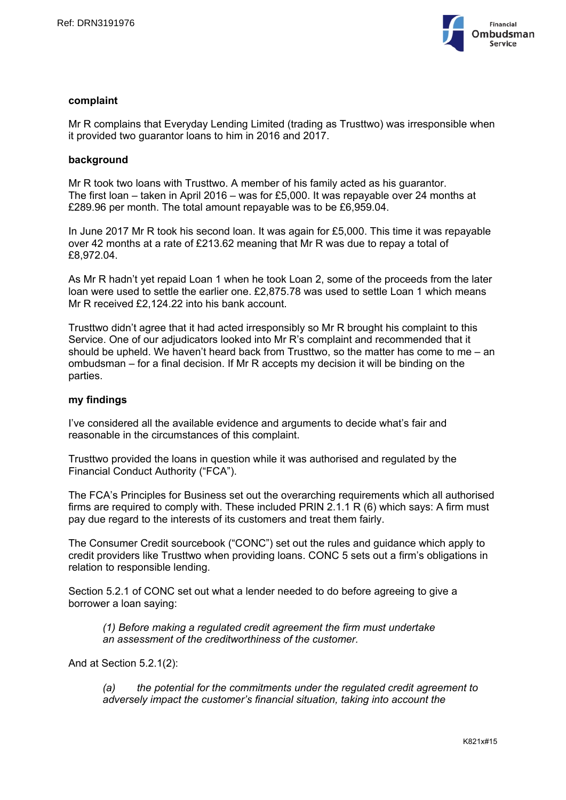

#### **complaint**

Mr R complains that Everyday Lending Limited (trading as Trusttwo) was irresponsible when it provided two guarantor loans to him in 2016 and 2017.

#### **background**

Mr R took two loans with Trusttwo. A member of his family acted as his guarantor. The first loan – taken in April 2016 – was for £5,000. It was repayable over 24 months at £289.96 per month. The total amount repayable was to be £6,959.04.

In June 2017 Mr R took his second loan. It was again for £5,000. This time it was repayable over 42 months at a rate of £213.62 meaning that Mr R was due to repay a total of £8,972.04.

As Mr R hadn't yet repaid Loan 1 when he took Loan 2, some of the proceeds from the later loan were used to settle the earlier one. £2,875.78 was used to settle Loan 1 which means Mr R received £2,124.22 into his bank account.

Trusttwo didn't agree that it had acted irresponsibly so Mr R brought his complaint to this Service. One of our adjudicators looked into Mr R's complaint and recommended that it should be upheld. We haven't heard back from Trusttwo, so the matter has come to me – an ombudsman – for a final decision. If Mr R accepts my decision it will be binding on the parties.

#### **my findings**

I've considered all the available evidence and arguments to decide what's fair and reasonable in the circumstances of this complaint.

Trusttwo provided the loans in question while it was authorised and regulated by the Financial Conduct Authority ("FCA").

The FCA's Principles for Business set out the overarching requirements which all authorised firms are required to comply with. These included PRIN 2.1.1 R (6) which says: A firm must pay due regard to the interests of its customers and treat them fairly.

The Consumer Credit sourcebook ("CONC") set out the rules and guidance which apply to credit providers like Trusttwo when providing loans. CONC 5 sets out a firm's obligations in relation to responsible lending.

Section 5.2.1 of CONC set out what a lender needed to do before agreeing to give a borrower a loan saying:

*(1) Before making a regulated credit agreement the firm must undertake an assessment of the creditworthiness of the customer.*

And at Section 5.2.1(2):

*(a) the potential for the commitments under the regulated credit agreement to adversely impact the customer's financial situation, taking into account the*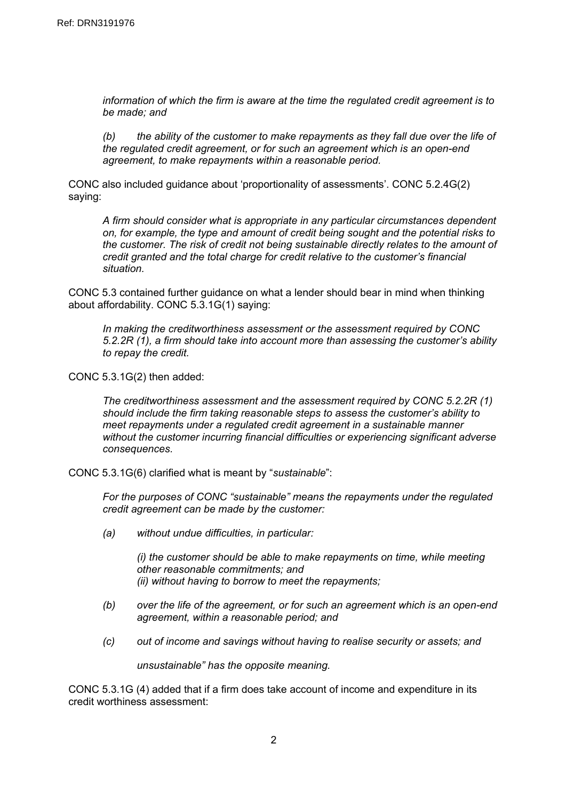*information of which the firm is aware at the time the regulated credit agreement is to be made; and*

*(b) the ability of the customer to make repayments as they fall due over the life of the regulated credit agreement, or for such an agreement which is an open-end agreement, to make repayments within a reasonable period.*

CONC also included guidance about 'proportionality of assessments'. CONC 5.2.4G(2) saying:

*A firm should consider what is appropriate in any particular circumstances dependent on, for example, the type and amount of credit being sought and the potential risks to the customer. The risk of credit not being sustainable directly relates to the amount of credit granted and the total charge for credit relative to the customer's financial situation.*

CONC 5.3 contained further guidance on what a lender should bear in mind when thinking about affordability. CONC 5.3.1G(1) saying:

*In making the creditworthiness assessment or the assessment required by CONC 5.2.2R (1), a firm should take into account more than assessing the customer's ability to repay the credit.*

CONC 5.3.1G(2) then added:

*The creditworthiness assessment and the assessment required by CONC 5.2.2R (1) should include the firm taking reasonable steps to assess the customer's ability to meet repayments under a regulated credit agreement in a sustainable manner without the customer incurring financial difficulties or experiencing significant adverse consequences.*

CONC 5.3.1G(6) clarified what is meant by "*sustainable*":

*For the purposes of CONC "sustainable" means the repayments under the regulated credit agreement can be made by the customer:*

*(a) without undue difficulties, in particular:*

*(i) the customer should be able to make repayments on time, while meeting other reasonable commitments; and (ii) without having to borrow to meet the repayments;*

- *(b) over the life of the agreement, or for such an agreement which is an open-end agreement, within a reasonable period; and*
- *(c) out of income and savings without having to realise security or assets; and*

*unsustainable" has the opposite meaning.*

CONC 5.3.1G (4) added that if a firm does take account of income and expenditure in its credit worthiness assessment: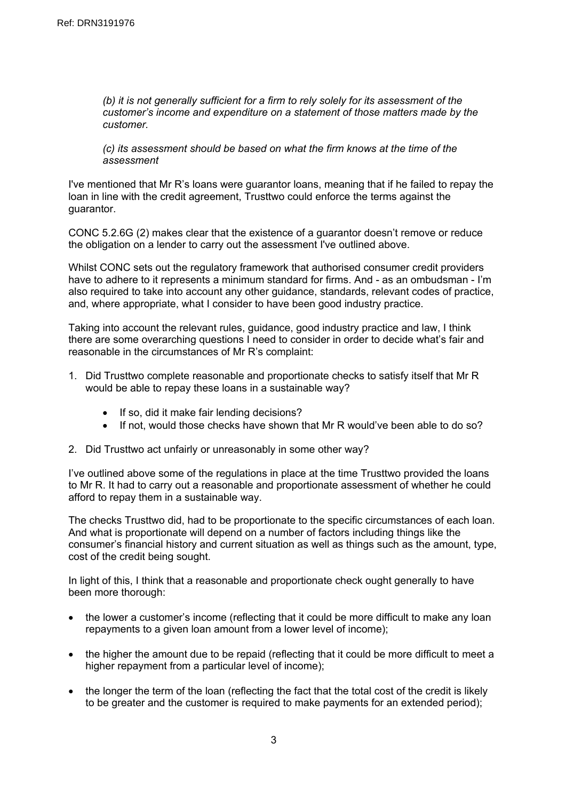*(b) it is not generally sufficient for a firm to rely solely for its assessment of the customer's income and expenditure on a statement of those matters made by the customer.*

*(c) its assessment should be based on what the firm knows at the time of the assessment*

I've mentioned that Mr R's loans were guarantor loans, meaning that if he failed to repay the loan in line with the credit agreement, Trusttwo could enforce the terms against the guarantor.

CONC 5.2.6G (2) makes clear that the existence of a guarantor doesn't remove or reduce the obligation on a lender to carry out the assessment I've outlined above.

Whilst CONC sets out the regulatory framework that authorised consumer credit providers have to adhere to it represents a minimum standard for firms. And - as an ombudsman - I'm also required to take into account any other guidance, standards, relevant codes of practice, and, where appropriate, what I consider to have been good industry practice.

Taking into account the relevant rules, guidance, good industry practice and law, I think there are some overarching questions I need to consider in order to decide what's fair and reasonable in the circumstances of Mr R's complaint:

- 1. Did Trusttwo complete reasonable and proportionate checks to satisfy itself that Mr R would be able to repay these loans in a sustainable way?
	- If so, did it make fair lending decisions?
	- If not, would those checks have shown that Mr R would've been able to do so?
- 2. Did Trusttwo act unfairly or unreasonably in some other way?

I've outlined above some of the regulations in place at the time Trusttwo provided the loans to Mr R. It had to carry out a reasonable and proportionate assessment of whether he could afford to repay them in a sustainable way.

The checks Trusttwo did, had to be proportionate to the specific circumstances of each loan. And what is proportionate will depend on a number of factors including things like the consumer's financial history and current situation as well as things such as the amount, type, cost of the credit being sought.

In light of this, I think that a reasonable and proportionate check ought generally to have been more thorough:

- the lower a customer's income (reflecting that it could be more difficult to make any loan repayments to a given loan amount from a lower level of income);
- the higher the amount due to be repaid (reflecting that it could be more difficult to meet a higher repayment from a particular level of income);
- the longer the term of the loan (reflecting the fact that the total cost of the credit is likely to be greater and the customer is required to make payments for an extended period);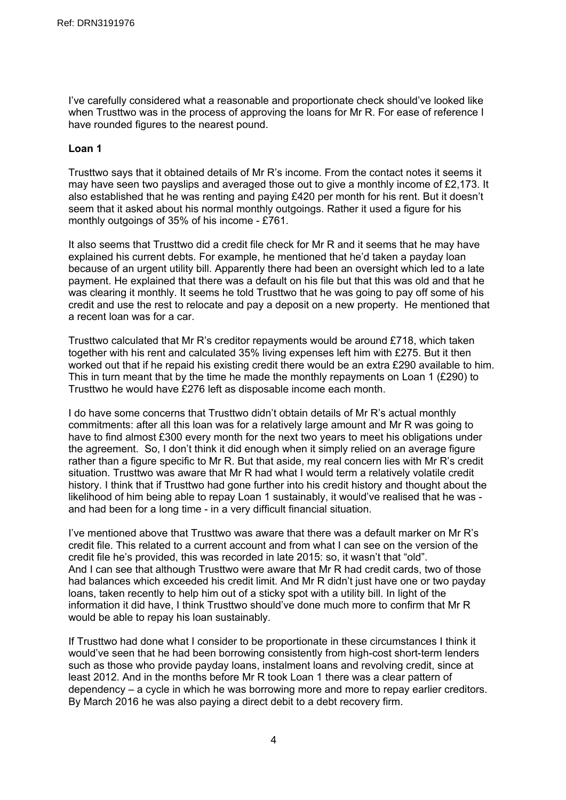I've carefully considered what a reasonable and proportionate check should've looked like when Trusttwo was in the process of approving the loans for Mr R. For ease of reference I have rounded figures to the nearest pound.

# **Loan 1**

Trusttwo says that it obtained details of Mr R's income. From the contact notes it seems it may have seen two payslips and averaged those out to give a monthly income of £2,173. It also established that he was renting and paying £420 per month for his rent. But it doesn't seem that it asked about his normal monthly outgoings. Rather it used a figure for his monthly outgoings of 35% of his income - £761.

It also seems that Trusttwo did a credit file check for Mr R and it seems that he may have explained his current debts. For example, he mentioned that he'd taken a payday loan because of an urgent utility bill. Apparently there had been an oversight which led to a late payment. He explained that there was a default on his file but that this was old and that he was clearing it monthly. It seems he told Trusttwo that he was going to pay off some of his credit and use the rest to relocate and pay a deposit on a new property. He mentioned that a recent loan was for a car.

Trusttwo calculated that Mr R's creditor repayments would be around £718, which taken together with his rent and calculated 35% living expenses left him with £275. But it then worked out that if he repaid his existing credit there would be an extra £290 available to him. This in turn meant that by the time he made the monthly repayments on Loan 1 (£290) to Trusttwo he would have £276 left as disposable income each month.

I do have some concerns that Trusttwo didn't obtain details of Mr R's actual monthly commitments: after all this loan was for a relatively large amount and Mr R was going to have to find almost £300 every month for the next two years to meet his obligations under the agreement. So, I don't think it did enough when it simply relied on an average figure rather than a figure specific to Mr R. But that aside, my real concern lies with Mr R's credit situation. Trusttwo was aware that Mr R had what I would term a relatively volatile credit history. I think that if Trusttwo had gone further into his credit history and thought about the likelihood of him being able to repay Loan 1 sustainably, it would've realised that he was and had been for a long time - in a very difficult financial situation.

I've mentioned above that Trusttwo was aware that there was a default marker on Mr R's credit file. This related to a current account and from what I can see on the version of the credit file he's provided, this was recorded in late 2015: so, it wasn't that "old". And I can see that although Trusttwo were aware that Mr R had credit cards, two of those had balances which exceeded his credit limit. And Mr R didn't just have one or two payday loans, taken recently to help him out of a sticky spot with a utility bill. In light of the information it did have, I think Trusttwo should've done much more to confirm that Mr R would be able to repay his loan sustainably.

If Trusttwo had done what I consider to be proportionate in these circumstances I think it would've seen that he had been borrowing consistently from high-cost short-term lenders such as those who provide payday loans, instalment loans and revolving credit, since at least 2012. And in the months before Mr R took Loan 1 there was a clear pattern of dependency – a cycle in which he was borrowing more and more to repay earlier creditors. By March 2016 he was also paying a direct debit to a debt recovery firm.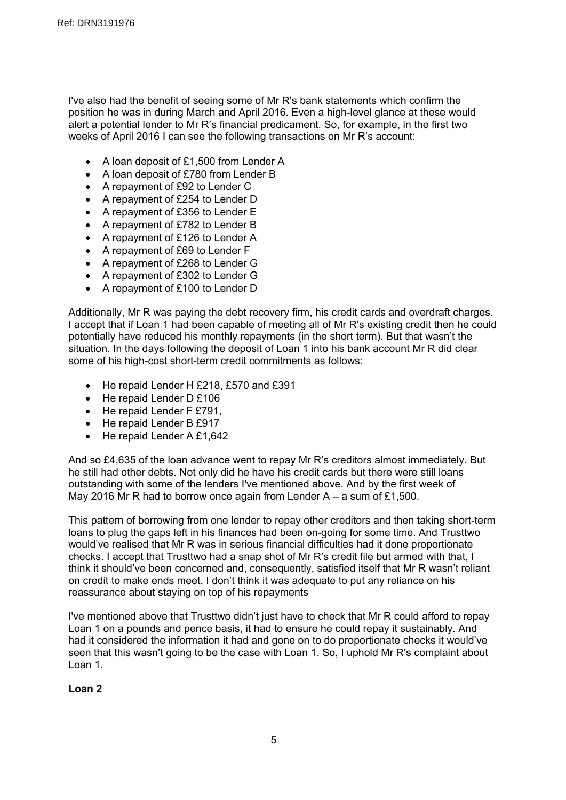I've also had the benefit of seeing some of Mr R's bank statements which confirm the position he was in during March and April 2016. Even a high-level glance at these would alert a potential lender to Mr R's financial predicament. So, for example, in the first two weeks of April 2016 I can see the following transactions on Mr R's account:

- A loan deposit of £1,500 from Lender A
- A loan deposit of £780 from Lender B
- A repayment of £92 to Lender C
- A repayment of £254 to Lender D
- A repayment of £356 to Lender E
- A repayment of £782 to Lender B
- A repayment of £126 to Lender A
- A repayment of £69 to Lender F
- A repayment of £268 to Lender G
- A repayment of £302 to Lender G
- A repayment of £100 to Lender D

Additionally, Mr R was paying the debt recovery firm, his credit cards and overdraft charges. I accept that if Loan 1 had been capable of meeting all of Mr R's existing credit then he could potentially have reduced his monthly repayments (in the short term). But that wasn't the situation. In the days following the deposit of Loan 1 into his bank account Mr R did clear some of his high-cost short-term credit commitments as follows:

- He repaid Lender H £218, £570 and £391
- He repaid Lender D £106
- He repaid Lender F £791,
- He repaid Lender B £917
- $\bullet$  He repaid Lender A £1,642

And so £4,635 of the loan advance went to repay Mr R's creditors almost immediately. But he still had other debts. Not only did he have his credit cards but there were still loans outstanding with some of the lenders I've mentioned above. And by the first week of May 2016 Mr R had to borrow once again from Lender A – a sum of £1,500.

This pattern of borrowing from one lender to repay other creditors and then taking short-term loans to plug the gaps left in his finances had been on-going for some time. And Trusttwo would've realised that Mr R was in serious financial difficulties had it done proportionate checks. I accept that Trusttwo had a snap shot of Mr R's credit file but armed with that, I think it should've been concerned and, consequently, satisfied itself that Mr R wasn't reliant on credit to make ends meet. I don't think it was adequate to put any reliance on his reassurance about staying on top of his repayments

I've mentioned above that Trusttwo didn't just have to check that Mr R could afford to repay Loan 1 on a pounds and pence basis, it had to ensure he could repay it sustainably. And had it considered the information it had and gone on to do proportionate checks it would've seen that this wasn't going to be the case with Loan 1. So, I uphold Mr R's complaint about Loan 1.

# **Loan 2**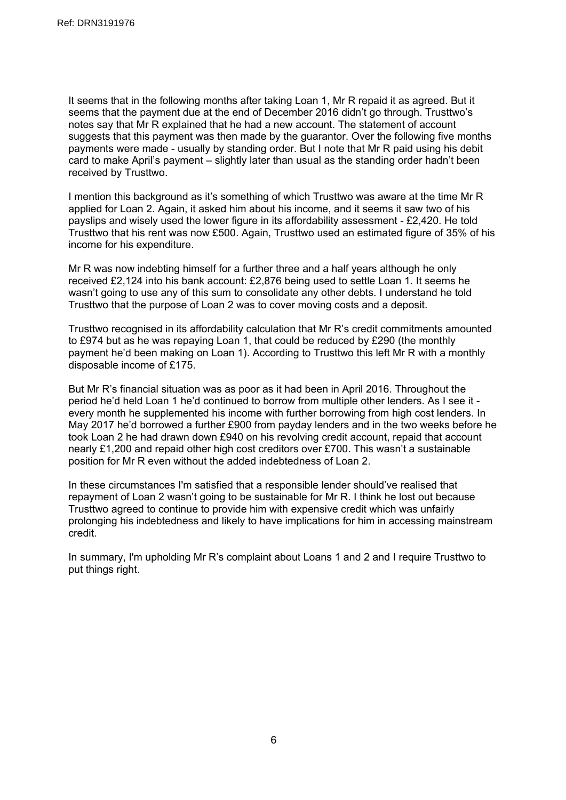It seems that in the following months after taking Loan 1, Mr R repaid it as agreed. But it seems that the payment due at the end of December 2016 didn't go through. Trusttwo's notes say that Mr R explained that he had a new account. The statement of account suggests that this payment was then made by the guarantor. Over the following five months payments were made - usually by standing order. But I note that Mr R paid using his debit card to make April's payment – slightly later than usual as the standing order hadn't been received by Trusttwo.

I mention this background as it's something of which Trusttwo was aware at the time Mr R applied for Loan 2. Again, it asked him about his income, and it seems it saw two of his payslips and wisely used the lower figure in its affordability assessment - £2,420. He told Trusttwo that his rent was now £500. Again, Trusttwo used an estimated figure of 35% of his income for his expenditure.

Mr R was now indebting himself for a further three and a half years although he only received £2,124 into his bank account: £2,876 being used to settle Loan 1. It seems he wasn't going to use any of this sum to consolidate any other debts. I understand he told Trusttwo that the purpose of Loan 2 was to cover moving costs and a deposit.

Trusttwo recognised in its affordability calculation that Mr R's credit commitments amounted to £974 but as he was repaying Loan 1, that could be reduced by £290 (the monthly payment he'd been making on Loan 1). According to Trusttwo this left Mr R with a monthly disposable income of £175.

But Mr R's financial situation was as poor as it had been in April 2016. Throughout the period he'd held Loan 1 he'd continued to borrow from multiple other lenders. As I see it every month he supplemented his income with further borrowing from high cost lenders. In May 2017 he'd borrowed a further £900 from payday lenders and in the two weeks before he took Loan 2 he had drawn down £940 on his revolving credit account, repaid that account nearly £1,200 and repaid other high cost creditors over £700. This wasn't a sustainable position for Mr R even without the added indebtedness of Loan 2.

In these circumstances I'm satisfied that a responsible lender should've realised that repayment of Loan 2 wasn't going to be sustainable for Mr R. I think he lost out because Trusttwo agreed to continue to provide him with expensive credit which was unfairly prolonging his indebtedness and likely to have implications for him in accessing mainstream credit.

In summary, I'm upholding Mr R's complaint about Loans 1 and 2 and I require Trusttwo to put things right.